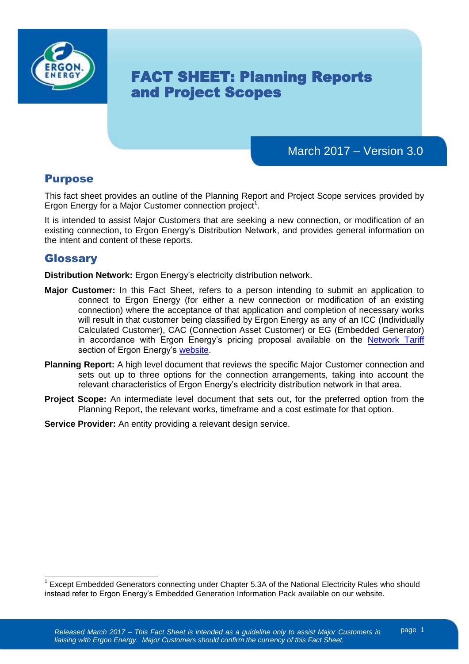

# FACT SHEET: Planning Reports and Project Scopes

# March 2017 – Version 3.0

### Purpose

This fact sheet provides an outline of the Planning Report and Project Scope services provided by Ergon Energy for a Major Customer connection project<sup>1</sup>.

It is intended to assist Major Customers that are seeking a new connection, or modification of an existing connection, to Ergon Energy's Distribution Network, and provides general information on the intent and content of these reports.

### Glossary

**Distribution Network:** Ergon Energy's electricity distribution network.

- **Major Customer:** In this Fact Sheet, refers to a person intending to submit an application to connect to Ergon Energy (for either a new connection or modification of an existing connection) where the acceptance of that application and completion of necessary works will result in that customer being classified by Ergon Energy as any of an ICC (Individually Calculated Customer), CAC (Connection Asset Customer) or EG (Embedded Generator) in accordance with Ergon Energy's pricing proposal available on the [Network Tariff](https://www.ergon.com.au/network/network-management/network-pricing/network-tariffs) section of Ergon Energy's [website.](http://www.ergon.com.au/)
- **Planning Report:** A high level document that reviews the specific Major Customer connection and sets out up to three options for the connection arrangements, taking into account the relevant characteristics of Ergon Energy's electricity distribution network in that area.
- **Project Scope:** An intermediate level document that sets out, for the preferred option from the Planning Report, the relevant works, timeframe and a cost estimate for that option.
- **Service Provider:** An entity providing a relevant design service.

 $\overline{1}$ <sup>1</sup> Except Embedded Generators connecting under Chapter 5.3A of the National Electricity Rules who should instead refer to Ergon Energy's Embedded Generation Information Pack available on our website.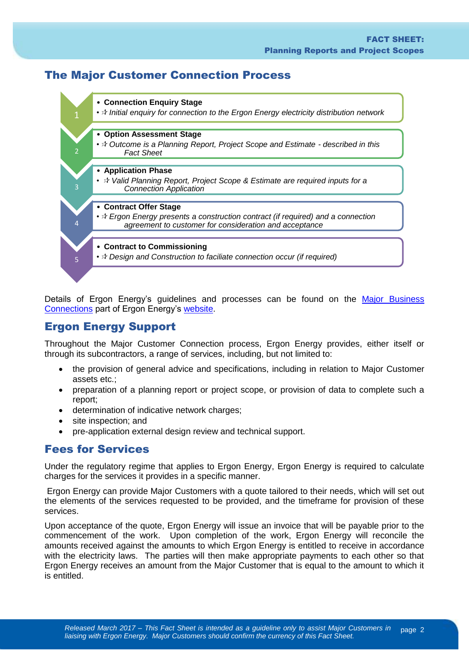# The Major Customer Connection Process



Details of Ergon Energy's guidelines and processes can be found on the [Major Business](https://www.ergon.com.au/network/connections/major-business-connections)  [Connections](https://www.ergon.com.au/network/connections/major-business-connections) part of Ergon Energy's [website.](https://www.ergon.com.au/)

### Ergon Energy Support

Throughout the Major Customer Connection process, Ergon Energy provides, either itself or through its subcontractors, a range of services, including, but not limited to:

- the provision of general advice and specifications, including in relation to Major Customer assets etc.;
- preparation of a planning report or project scope, or provision of data to complete such a report;
- determination of indicative network charges;
- site inspection; and
- pre-application external design review and technical support.

### Fees for Services

Under the regulatory regime that applies to Ergon Energy, Ergon Energy is required to calculate charges for the services it provides in a specific manner.

Ergon Energy can provide Major Customers with a quote tailored to their needs, which will set out the elements of the services requested to be provided, and the timeframe for provision of these services.

Upon acceptance of the quote, Ergon Energy will issue an invoice that will be payable prior to the commencement of the work. Upon completion of the work, Ergon Energy will reconcile the amounts received against the amounts to which Ergon Energy is entitled to receive in accordance with the electricity laws. The parties will then make appropriate payments to each other so that Ergon Energy receives an amount from the Major Customer that is equal to the amount to which it is entitled.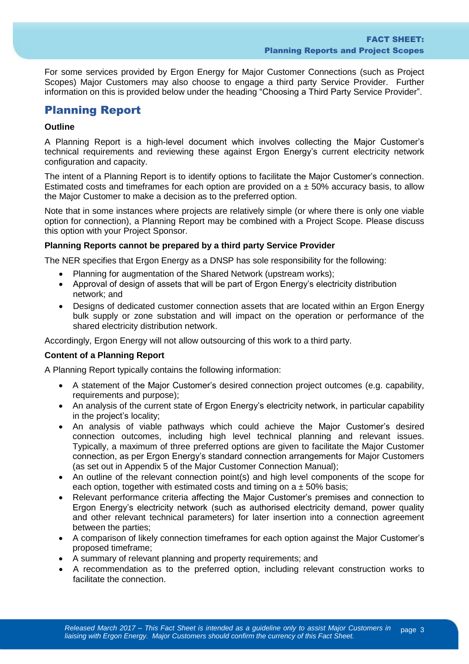For some services provided by Ergon Energy for Major Customer Connections (such as Project Scopes) Major Customers may also choose to engage a third party Service Provider. Further information on this is provided below under the heading "Choosing a Third Party Service Provider".

### Planning Report

#### **Outline**

A Planning Report is a high-level document which involves collecting the Major Customer's technical requirements and reviewing these against Ergon Energy's current electricity network configuration and capacity.

The intent of a Planning Report is to identify options to facilitate the Major Customer's connection. Estimated costs and timeframes for each option are provided on  $a \pm 50\%$  accuracy basis, to allow the Major Customer to make a decision as to the preferred option.

Note that in some instances where projects are relatively simple (or where there is only one viable option for connection), a Planning Report may be combined with a Project Scope. Please discuss this option with your Project Sponsor.

#### **Planning Reports cannot be prepared by a third party Service Provider**

The NER specifies that Ergon Energy as a DNSP has sole responsibility for the following:

- Planning for augmentation of the Shared Network (upstream works);
- Approval of design of assets that will be part of Ergon Energy's electricity distribution network; and
- Designs of dedicated customer connection assets that are located within an Ergon Energy bulk supply or zone substation and will impact on the operation or performance of the shared electricity distribution network.

Accordingly, Ergon Energy will not allow outsourcing of this work to a third party.

#### **Content of a Planning Report**

A Planning Report typically contains the following information:

- A statement of the Major Customer's desired connection project outcomes (e.g. capability, requirements and purpose);
- An analysis of the current state of Ergon Energy's electricity network, in particular capability in the project's locality;
- An analysis of viable pathways which could achieve the Major Customer's desired connection outcomes, including high level technical planning and relevant issues. Typically, a maximum of three preferred options are given to facilitate the Major Customer connection, as per Ergon Energy's standard connection arrangements for Major Customers (as set out in Appendix 5 of the Major Customer Connection Manual);
- An outline of the relevant connection point(s) and high level components of the scope for each option, together with estimated costs and timing on  $a \pm 50\%$  basis;
- Relevant performance criteria affecting the Major Customer's premises and connection to Ergon Energy's electricity network (such as authorised electricity demand, power quality and other relevant technical parameters) for later insertion into a connection agreement between the parties;
- A comparison of likely connection timeframes for each option against the Major Customer's proposed timeframe;
- A summary of relevant planning and property requirements; and
- A recommendation as to the preferred option, including relevant construction works to facilitate the connection.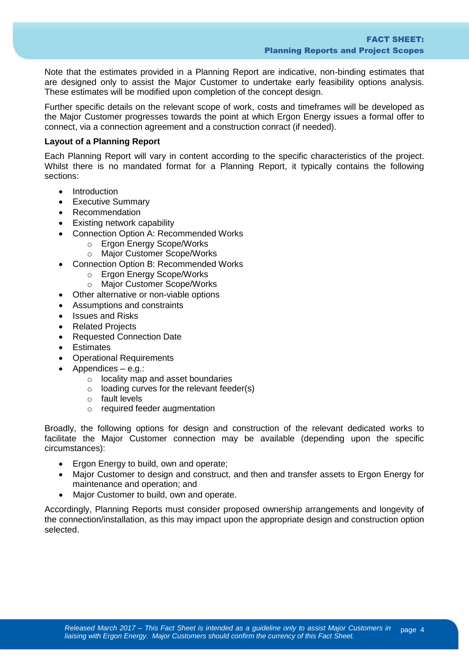Note that the estimates provided in a Planning Report are indicative, non-binding estimates that are designed only to assist the Major Customer to undertake early feasibility options analysis. These estimates will be modified upon completion of the concept design.

Further specific details on the relevant scope of work, costs and timeframes will be developed as the Major Customer progresses towards the point at which Ergon Energy issues a formal offer to connect, via a connection agreement and a construction conract (if needed).

#### **Layout of a Planning Report**

Each Planning Report will vary in content according to the specific characteristics of the project. Whilst there is no mandated format for a Planning Report, it typically contains the following sections:

- Introduction
- **•** Executive Summary
- Recommendation
- Existing network capability
- Connection Option A: Recommended Works
	- o Ergon Energy Scope/Works
		- o Major Customer Scope/Works
- Connection Option B: Recommended Works
	- o Ergon Energy Scope/Works
	- o Major Customer Scope/Works
- Other alternative or non-viable options
- Assumptions and constraints
- Issues and Risks
- Related Projects
- Requested Connection Date
- Estimates
- Operational Requirements
- Appendices e.g.:
	- o locality map and asset boundaries
	- $\circ$  loading curves for the relevant feeder(s)
	- o fault levels
	- o required feeder augmentation

Broadly, the following options for design and construction of the relevant dedicated works to facilitate the Major Customer connection may be available (depending upon the specific circumstances):

- **Ergon Energy to build, own and operate:**
- Major Customer to design and construct, and then and transfer assets to Ergon Energy for maintenance and operation; and
- Major Customer to build, own and operate.

Accordingly, Planning Reports must consider proposed ownership arrangements and longevity of the connection/installation, as this may impact upon the appropriate design and construction option selected.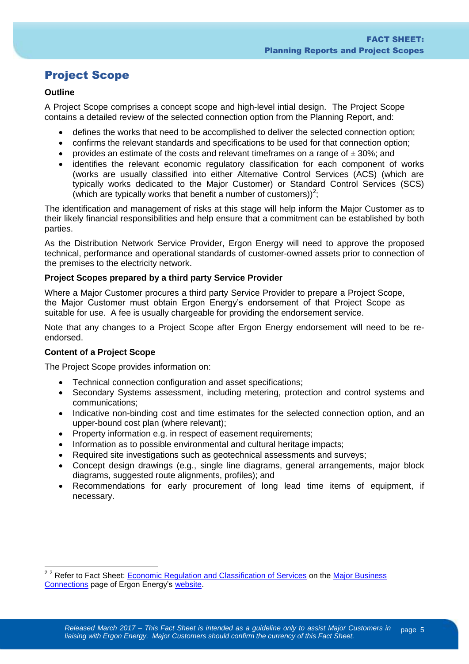# Project Scope

#### **Outline**

A Project Scope comprises a concept scope and high-level intial design. The Project Scope contains a detailed review of the selected connection option from the Planning Report, and:

- defines the works that need to be accomplished to deliver the selected connection option;
- confirms the relevant standards and specifications to be used for that connection option;
- provides an estimate of the costs and relevant time frames on a range of  $\pm 30\%$ ; and
- identifies the relevant economic regulatory classification for each component of works (works are usually classified into either Alternative Control Services (ACS) (which are typically works dedicated to the Major Customer) or Standard Control Services (SCS) (which are typically works that benefit a number of customers))<sup>2</sup>;

The identification and management of risks at this stage will help inform the Major Customer as to their likely financial responsibilities and help ensure that a commitment can be established by both parties.

As the Distribution Network Service Provider, Ergon Energy will need to approve the proposed technical, performance and operational standards of customer-owned assets prior to connection of the premises to the electricity network.

#### **Project Scopes prepared by a third party Service Provider**

Where a Major Customer procures a third party Service Provider to prepare a Project Scope, the Major Customer must obtain Ergon Energy's endorsement of that Project Scope as suitable for use. A fee is usually chargeable for providing the endorsement service.

Note that any changes to a Project Scope after Ergon Energy endorsement will need to be reendorsed.

#### **Content of a Project Scope**

 $\overline{a}$ 

The Project Scope provides information on:

- Technical connection configuration and asset specifications;
- Secondary Systems assessment, including metering, protection and control systems and communications;
- Indicative non-binding cost and time estimates for the selected connection option, and an upper-bound cost plan (where relevant);
- Property information e.g. in respect of easement requirements;
- Information as to possible environmental and cultural heritage impacts;
- Required site investigations such as geotechnical assessments and surveys:
- Concept design drawings (e.g., single line diagrams, general arrangements, major block diagrams, suggested route alignments, profiles); and
- Recommendations for early procurement of long lead time items of equipment, if necessary.

<sup>&</sup>lt;sup>22</sup> Refer to Fact Sheet: [Economic Regulation and Classification of Services](https://www.ergon.com.au/__data/assets/pdf_file/0006/191994/Fact-Sheet-Economic-Regulation-and-Classification-of-Services.pdf) on the Major Business [Connections](https://www.ergon.com.au/network/connections/major-business-connections) page of Ergon Energy's [website.](https://www.ergon.com.au/)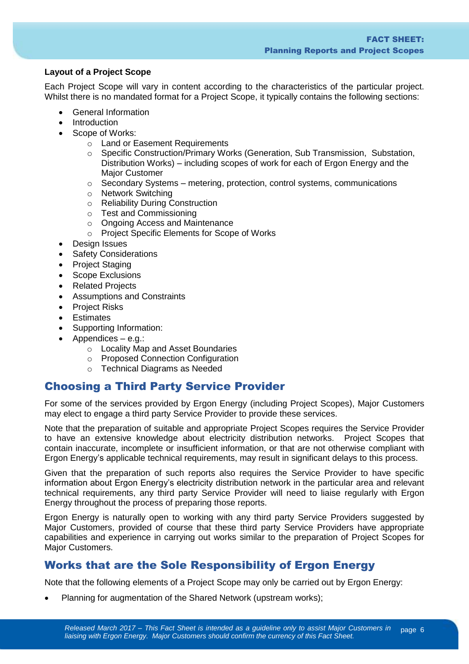#### **Layout of a Project Scope**

Each Project Scope will vary in content according to the characteristics of the particular project. Whilst there is no mandated format for a Project Scope, it typically contains the following sections:

- General Information
- Introduction
- Scope of Works:
	- o Land or Easement Requirements
	- o Specific Construction/Primary Works (Generation, Sub Transmission, Substation, Distribution Works) – including scopes of work for each of Ergon Energy and the Major Customer
	- $\circ$  Secondary Systems metering, protection, control systems, communications
	- o Network Switching
	- o Reliability During Construction
	- o Test and Commissioning
	- o Ongoing Access and Maintenance
	- o Project Specific Elements for Scope of Works
- Design Issues
- Safety Considerations
- Project Staging
- Scope Exclusions
- Related Projects
- Assumptions and Constraints
- Project Risks
- **•** Estimates
- Supporting Information:
- $\bullet$  Appendices e.g.:
	- o Locality Map and Asset Boundaries
	- o Proposed Connection Configuration
	- o Technical Diagrams as Needed

### Choosing a Third Party Service Provider

For some of the services provided by Ergon Energy (including Project Scopes), Major Customers may elect to engage a third party Service Provider to provide these services.

Note that the preparation of suitable and appropriate Project Scopes requires the Service Provider to have an extensive knowledge about electricity distribution networks. Project Scopes that contain inaccurate, incomplete or insufficient information, or that are not otherwise compliant with Ergon Energy's applicable technical requirements, may result in significant delays to this process.

Given that the preparation of such reports also requires the Service Provider to have specific information about Ergon Energy's electricity distribution network in the particular area and relevant technical requirements, any third party Service Provider will need to liaise regularly with Ergon Energy throughout the process of preparing those reports.

Ergon Energy is naturally open to working with any third party Service Providers suggested by Major Customers, provided of course that these third party Service Providers have appropriate capabilities and experience in carrying out works similar to the preparation of Project Scopes for Major Customers.

# Works that are the Sole Responsibility of Ergon Energy

Note that the following elements of a Project Scope may only be carried out by Ergon Energy:

Planning for augmentation of the Shared Network (upstream works);